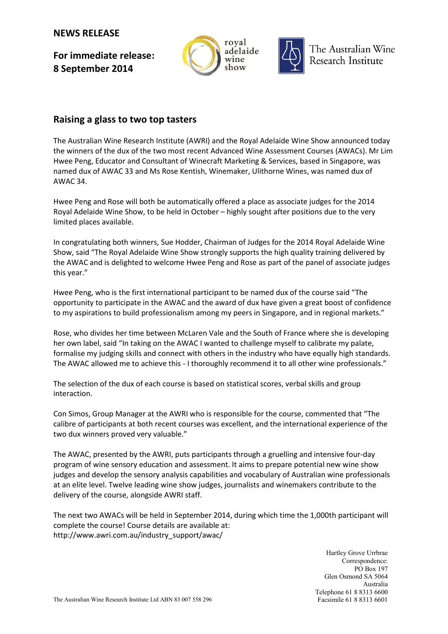## **NEWS RELEASE**

**For immediate release: 8 September 2014**





The Australian Wine Research Institute

## **Raising a glass to two top tasters**

The Australian Wine Research Institute (AWRI) and the Royal Adelaide Wine Show announced today the winners of the dux of the two most recent Advanced Wine Assessment Courses (AWACs). Mr Lim Hwee Peng, Educator and Consultant of Winecraft Marketing & Services, based in Singapore, was named dux of AWAC 33 and Ms Rose Kentish, Winemaker, Ulithorne Wines, was named dux of AWAC 34.

Hwee Peng and Rose will both be automatically offered a place as associate judges for the 2014 Royal Adelaide Wine Show, to be held in October – highly sought after positions due to the very limited places available.

In congratulating both winners, Sue Hodder, Chairman of Judges for the 2014 Royal Adelaide Wine Show, said "The Royal Adelaide Wine Show strongly supports the high quality training delivered by the AWAC and is delighted to welcome Hwee Peng and Rose as part of the panel of associate judges this year."

Hwee Peng, who is the first international participant to be named dux of the course said "The opportunity to participate in the AWAC and the award of dux have given a great boost of confidence to my aspirations to build professionalism among my peers in Singapore, and in regional markets."

Rose, who divides her time between McLaren Vale and the South of France where she is developing her own label, said "In taking on the AWAC I wanted to challenge myself to calibrate my palate, formalise my judging skills and connect with others in the industry who have equally high standards. The AWAC allowed me to achieve this - I thoroughly recommend it to all other wine professionals."

The selection of the dux of each course is based on statistical scores, verbal skills and group interaction.

Con Simos, Group Manager at the AWRI who is responsible for the course, commented that "The calibre of participants at both recent courses was excellent, and the international experience of the two dux winners proved very valuable."

The AWAC, presented by the AWRI, puts participants through a gruelling and intensive four-day program of wine sensory education and assessment. It aims to prepare potential new wine show judges and develop the sensory analysis capabilities and vocabulary of Australian wine professionals at an elite level. Twelve leading wine show judges, journalists and winemakers contribute to the delivery of the course, alongside AWRI staff.

The next two AWACs will be held in September 2014, during which time the 1,000th participant will complete the course! Course details are available at: [http://www.awri.com.au/industry\\_support/awac/](http://www.awri.com.au/industry_support/awac/)

> Hartley Grove Urrbrae Correspondence: PO Box 197 Glen Osmond SA 5064 Australia Telephone 61 8 8313 6600 Facsimile 61 8 8313 6601